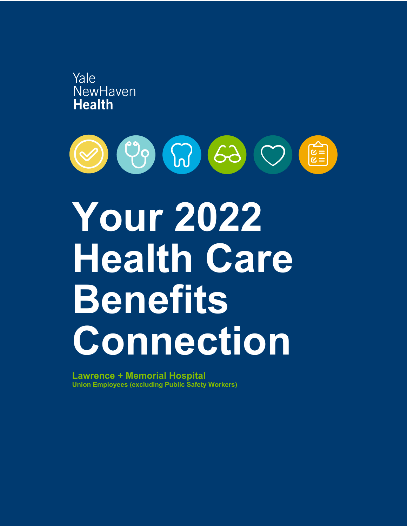



# **Your 2022 Health Care Benefits Connection**

**Lawrence + Memorial Hospital Union Employees (excluding Public Safety Workers)**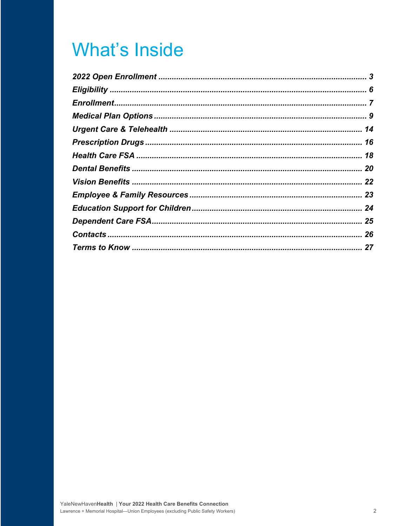### **What's Inside**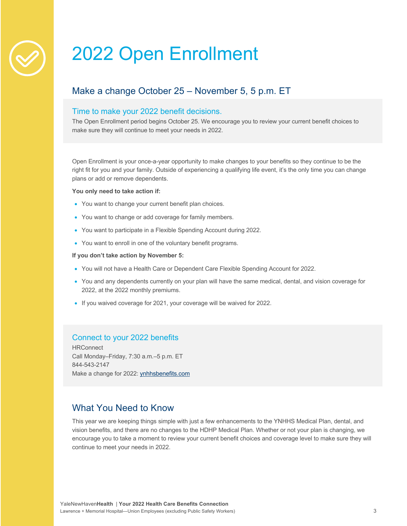### 2022 Open Enrollment

### Make a change October 25 – November 5, 5 p.m. ET

#### Time to make your 2022 benefit decisions.

The Open Enrollment period begins October 25. We encourage you to review your current benefit choices to make sure they will continue to meet your needs in 2022.

Open Enrollment is your once-a-year opportunity to make changes to your benefits so they continue to be the right fit for you and your family. Outside of experiencing a qualifying life event, it's the only time you can change plans or add or remove dependents.

#### **You only need to take action if:**

- You want to change your current benefit plan choices.
- You want to change or add coverage for family members.
- You want to participate in a Flexible Spending Account during 2022.
- You want to enroll in one of the voluntary benefit programs.

#### **If you don't take action by November 5:**

- You will not have a Health Care or Dependent Care Flexible Spending Account for 2022.
- You and any dependents currently on your plan will have the same medical, dental, and vision coverage for 2022, at the 2022 monthly premiums.
- If you waived coverage for 2021, your coverage will be waived for 2022.

#### Connect to your 2022 benefits

**HRConnect** Call Monday–Friday, 7:30 a.m.–5 p.m. ET 844-543-2147 Make a change for 2022: ynhhsbenefits.com

#### What You Need to Know

This year we are keeping things simple with just a few enhancements to the YNHHS Medical Plan, dental, and vision benefits, and there are no changes to the HDHP Medical Plan. Whether or not your plan is changing, we encourage you to take a moment to review your current benefit choices and coverage level to make sure they will continue to meet your needs in 2022.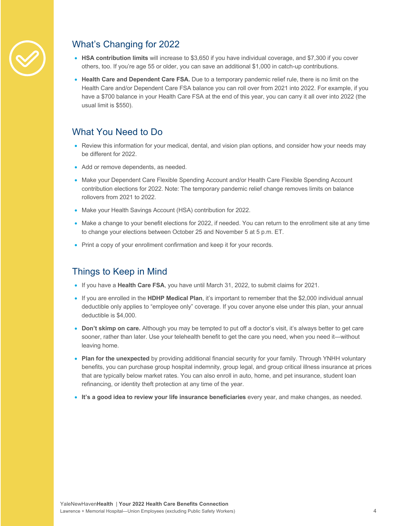

### What's Changing for 2022

- **HSA contribution limits** will increase to \$3,650 if you have individual coverage, and \$7,300 if you cover others, too. If you're age 55 or older, you can save an additional \$1,000 in catch-up contributions.
- **Health Care and Dependent Care FSA.** Due to a temporary pandemic relief rule, there is no limit on the Health Care and/or Dependent Care FSA balance you can roll over from 2021 into 2022. For example, if you have a \$700 balance in your Health Care FSA at the end of this year, you can carry it all over into 2022 (the usual limit is \$550).

#### What You Need to Do

- Review this information for your medical, dental, and vision plan options, and consider how your needs may be different for 2022.
- Add or remove dependents, as needed.
- Make your Dependent Care Flexible Spending Account and/or Health Care Flexible Spending Account contribution elections for 2022. Note: The temporary pandemic relief change removes limits on balance rollovers from 2021 to 2022.
- Make your Health Savings Account (HSA) contribution for 2022.
- Make a change to your benefit elections for 2022, if needed. You can return to the enrollment site at any time to change your elections between October 25 and November 5 at 5 p.m. ET.
- Print a copy of your enrollment confirmation and keep it for your records.

#### Things to Keep in Mind

- If you have a **Health Care FSA**, you have until March 31, 2022, to submit claims for 2021.
- If you are enrolled in the **HDHP Medical Plan**, it's important to remember that the \$2,000 individual annual deductible only applies to "employee only" coverage. If you cover anyone else under this plan, your annual deductible is \$4,000.
- **Don't skimp on care.** Although you may be tempted to put off a doctor's visit, it's always better to get care sooner, rather than later. Use your telehealth benefit to get the care you need, when you need it—without leaving home.
- **Plan for the unexpected** by providing additional financial security for your family. Through YNHH voluntary benefits, you can purchase group hospital indemnity, group legal, and group critical illness insurance at prices that are typically below market rates. You can also enroll in auto, home, and pet insurance, student loan refinancing, or identity theft protection at any time of the year.
- **It's a good idea to review your life insurance beneficiaries** every year, and make changes, as needed.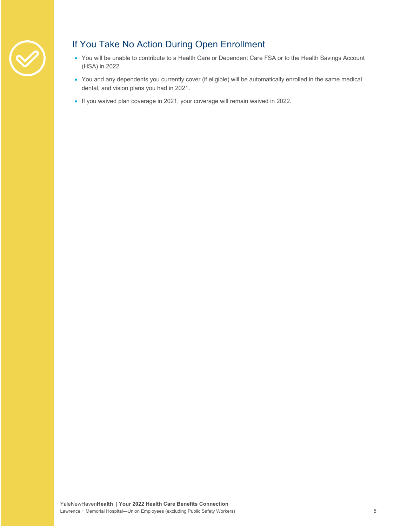

### If You Take No Action During Open Enrollment

- You will be unable to contribute to a Health Care or Dependent Care FSA or to the Health Savings Account (HSA) in 2022.
- You and any dependents you currently cover (if eligible) will be automatically enrolled in the same medical, dental, and vision plans you had in 2021.
- If you waived plan coverage in 2021, your coverage will remain waived in 2022.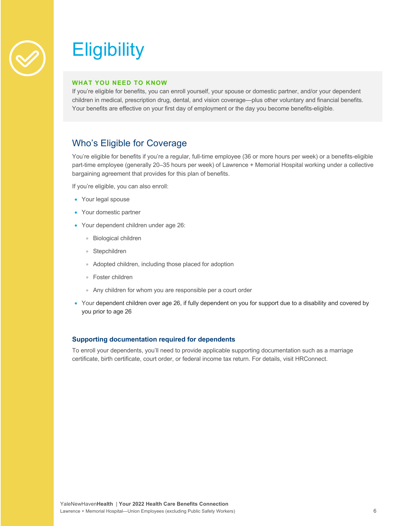

## **Eligibility**

#### **WHAT YOU NEED TO KNOW**

If you're eligible for benefits, you can enroll yourself, your spouse or domestic partner, and/or your dependent children in medical, prescription drug, dental, and vision coverage—plus other voluntary and financial benefits. Your benefits are effective on your first day of employment or the day you become benefits-eligible.

#### Who's Eligible for Coverage

You're eligible for benefits if you're a regular, full-time employee (36 or more hours per week) or a benefits-eligible part-time employee (generally 20–35 hours per week) of Lawrence + Memorial Hospital working under a collective bargaining agreement that provides for this plan of benefits.

If you're eligible, you can also enroll:

- Your legal spouse
- Your domestic partner
- Your dependent children under age 26:
	- Biological children
	- Stepchildren
	- Adopted children, including those placed for adoption
	- Foster children
	- Any children for whom you are responsible per a court order
- Your dependent children over age 26, if fully dependent on you for support due to a disability and covered by you prior to age 26

#### **Supporting documentation required for dependents**

To enroll your dependents, you'll need to provide applicable supporting documentation such as a marriage certificate, birth certificate, court order, or federal income tax return. For details, visit HRConnect.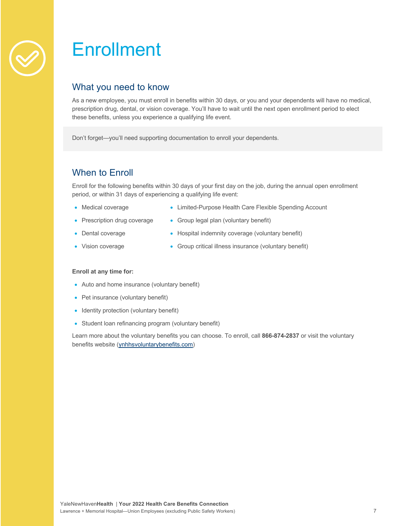### **Enrollment**

#### What you need to know

As a new employee, you must enroll in benefits within 30 days, or you and your dependents will have no medical, prescription drug, dental, or vision coverage. You'll have to wait until the next open enrollment period to elect these benefits, unless you experience a qualifying life event.

Don't forget—you'll need supporting documentation to enroll your dependents.

### When to Enroll

Enroll for the following benefits within 30 days of your first day on the job, during the annual open enrollment period, or within 31 days of experiencing a qualifying life event:

- Medical coverage
- Limited-Purpose Health Care Flexible Spending Account
- Prescription drug coverage
- Group legal plan (voluntary benefit)
- Dental coverage
- Hospital indemnity coverage (voluntary benefit)
- Vision coverage
- Group critical illness insurance (voluntary benefit)

#### **Enroll at any time for:**

- Auto and home insurance (voluntary benefit)
- Pet insurance (voluntary benefit)
- Identity protection (voluntary benefit)
- Student loan refinancing program (voluntary benefit)

Learn more about the voluntary benefits you can choose. To enroll, call **866-874-2837** or visit the voluntary benefits website (ynhhsvoluntarybenefits.com)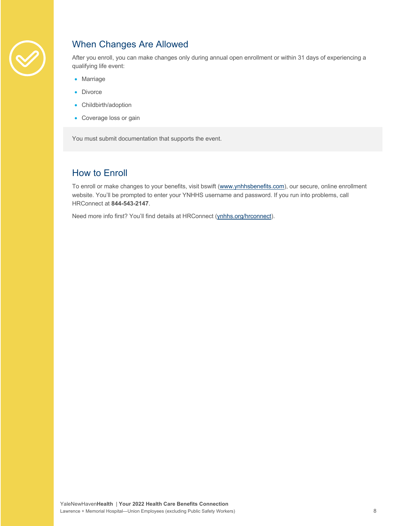

### When Changes Are Allowed

After you enroll, you can make changes only during annual open enrollment or within 31 days of experiencing a qualifying life event:

- Marriage
- Divorce
- Childbirth/adoption
- Coverage loss or gain

You must submit documentation that supports the event.

#### How to Enroll

To enroll or make changes to your benefits, visit bswift (www.ynhhsbenefits.com), our secure, online enrollment website. You'll be prompted to enter your YNHHS username and password. If you run into problems, call HRConnect at **844-543-2147**.

Need more info first? You'll find details at HRConnect (ynhhs.org/hrconnect).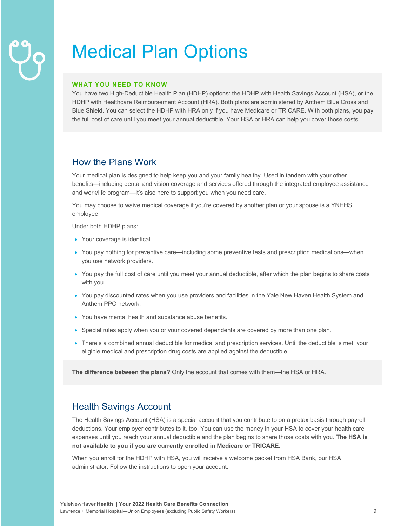## Medical Plan Options

#### **WHAT YOU NEED TO KNOW**

You have two High-Deductible Health Plan (HDHP) options: the HDHP with Health Savings Account (HSA), or the HDHP with Healthcare Reimbursement Account (HRA). Both plans are administered by Anthem Blue Cross and Blue Shield. You can select the HDHP with HRA only if you have Medicare or TRICARE. With both plans, you pay the full cost of care until you meet your annual deductible. Your HSA or HRA can help you cover those costs.

#### How the Plans Work

Your medical plan is designed to help keep you and your family healthy. Used in tandem with your other benefits—including dental and vision coverage and services offered through the integrated employee assistance and work/life program—it's also here to support you when you need care.

You may choose to waive medical coverage if you're covered by another plan or your spouse is a YNHHS employee.

Under both HDHP plans:

- Your coverage is identical.
- You pay nothing for preventive care—including some preventive tests and prescription medications—when you use network providers.
- You pay the full cost of care until you meet your annual deductible, after which the plan begins to share costs with you.
- You pay discounted rates when you use providers and facilities in the Yale New Haven Health System and Anthem PPO network.
- You have mental health and substance abuse benefits.
- Special rules apply when you or your covered dependents are covered by more than one plan.
- There's a combined annual deductible for medical and prescription services. Until the deductible is met, your eligible medical and prescription drug costs are applied against the deductible.

**The difference between the plans?** Only the account that comes with them—the HSA or HRA.

#### Health Savings Account

The Health Savings Account (HSA) is a special account that you contribute to on a pretax basis through payroll deductions. Your employer contributes to it, too. You can use the money in your HSA to cover your health care expenses until you reach your annual deductible and the plan begins to share those costs with you. **The HSA is not available to you if you are currently enrolled in Medicare or TRICARE.**

When you enroll for the HDHP with HSA, you will receive a welcome packet from HSA Bank, our HSA administrator. Follow the instructions to open your account.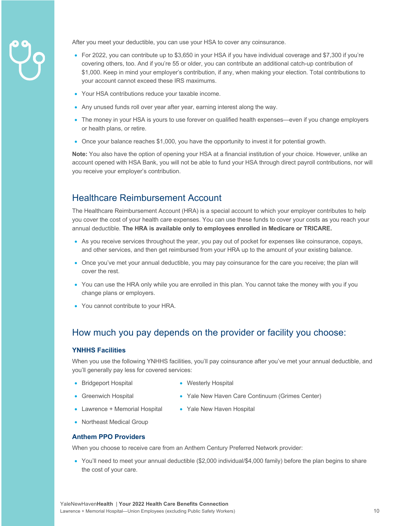

After you meet your deductible, you can use your HSA to cover any coinsurance.

- For 2022, you can contribute up to \$3,650 in your HSA if you have individual coverage and \$7,300 if you're covering others, too. And if you're 55 or older, you can contribute an additional catch-up contribution of \$1,000. Keep in mind your employer's contribution, if any, when making your election. Total contributions to your account cannot exceed these IRS maximums.
- Your HSA contributions reduce your taxable income.
- Any unused funds roll over year after year, earning interest along the way.
- The money in your HSA is yours to use forever on qualified health expenses—even if you change employers or health plans, or retire.
- Once your balance reaches \$1,000, you have the opportunity to invest it for potential growth.

**Note:** You also have the option of opening your HSA at a financial institution of your choice. However, unlike an account opened with HSA Bank, you will not be able to fund your HSA through direct payroll contributions, nor will you receive your employer's contribution.

#### Healthcare Reimbursement Account

The Healthcare Reimbursement Account (HRA) is a special account to which your employer contributes to help you cover the cost of your health care expenses. You can use these funds to cover your costs as you reach your annual deductible. **The HRA is available only to employees enrolled in Medicare or TRICARE.**

- As you receive services throughout the year, you pay out of pocket for expenses like coinsurance, copays, and other services, and then get reimbursed from your HRA up to the amount of your existing balance.
- Once you've met your annual deductible, you may pay coinsurance for the care you receive; the plan will cover the rest.
- You can use the HRA only while you are enrolled in this plan. You cannot take the money with you if you change plans or employers.
- You cannot contribute to your HRA.

#### How much you pay depends on the provider or facility you choose:

#### **YNHHS Facilities**

When you use the following YNHHS facilities, you'll pay coinsurance after you've met your annual deductible, and you'll generally pay less for covered services:

- Bridgeport Hospital
- Westerly Hospital
- Greenwich Hospital
- 
- Yale New Haven Care Continuum (Grimes Center)
- Lawrence + Memorial Hospital
- Yale New Haven Hospital
- Northeast Medical Group

#### **Anthem PPO Providers**

When you choose to receive care from an Anthem Century Preferred Network provider:

• You'll need to meet your annual deductible (\$2,000 individual/\$4,000 family) before the plan begins to share the cost of your care.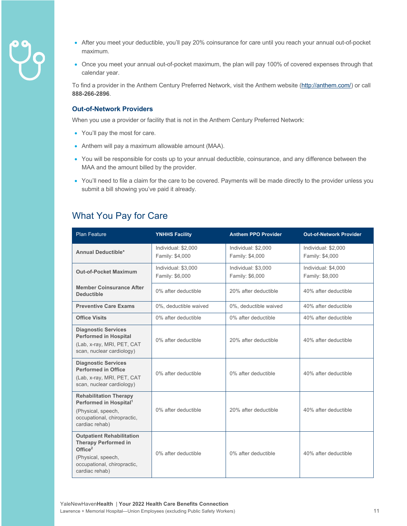- 
- After you meet your deductible, you'll pay 20% coinsurance for care until you reach your annual out-of-pocket maximum.
- Once you meet your annual out-of-pocket maximum, the plan will pay 100% of covered expenses through that calendar year.

To find a provider in the Anthem Century Preferred Network, visit the Anthem website (http://anthem.com/) or call **888-266-2896**.

#### **Out-of-Network Providers**

When you use a provider or facility that is not in the Anthem Century Preferred Network:

- You'll pay the most for care.
- Anthem will pay a maximum allowable amount (MAA).
- You will be responsible for costs up to your annual deductible, coinsurance, and any difference between the MAA and the amount billed by the provider.
- You'll need to file a claim for the care to be covered. Payments will be made directly to the provider unless you submit a bill showing you've paid it already.

#### What You Pay for Care

| <b>Plan Feature</b>                                                                                                                                  | <b>YNHHS Facility</b>                  | <b>Anthem PPO Provider</b>             | <b>Out-of-Network Provider</b>         |
|------------------------------------------------------------------------------------------------------------------------------------------------------|----------------------------------------|----------------------------------------|----------------------------------------|
| <b>Annual Deductible*</b>                                                                                                                            | Individual: \$2,000<br>Family: \$4,000 | Individual: \$2,000<br>Family: \$4,000 | Individual: \$2,000<br>Family: \$4,000 |
| <b>Out-of-Pocket Maximum</b>                                                                                                                         | Individual: \$3,000<br>Family: \$6,000 | Individual: \$3,000<br>Family: \$6,000 | Individual: \$4,000<br>Family: \$8,000 |
| <b>Member Coinsurance After</b><br><b>Deductible</b>                                                                                                 | 0% after deductible                    | 20% after deductible                   | 40% after deductible                   |
| <b>Preventive Care Exams</b>                                                                                                                         | 0%, deductible waived                  | 0%, deductible waived                  | 40% after deductible                   |
| <b>Office Visits</b>                                                                                                                                 | 0% after deductible                    | 0% after deductible                    | 40% after deductible                   |
| <b>Diagnostic Services</b><br><b>Performed in Hospital</b><br>(Lab, x-ray, MRI, PET, CAT<br>scan, nuclear cardiology)                                | 0% after deductible                    | 20% after deductible                   | 40% after deductible                   |
| <b>Diagnostic Services</b><br><b>Performed in Office</b><br>(Lab, x-ray, MRI, PET, CAT<br>scan, nuclear cardiology)                                  | 0% after deductible                    | 0% after deductible                    | 40% after deductible                   |
| <b>Rehabilitation Therapy</b><br>Performed in Hospital <sup>1</sup><br>(Physical, speech,<br>occupational, chiropractic,<br>cardiac rehab)           | 0% after deductible                    | 20% after deductible                   | 40% after deductible                   |
| <b>Outpatient Rehabilitation</b><br><b>Therapy Performed in</b><br>Office $2$<br>(Physical, speech,<br>occupational, chiropractic,<br>cardiac rehab) | 0% after deductible                    | 0% after deductible                    | 40% after deductible                   |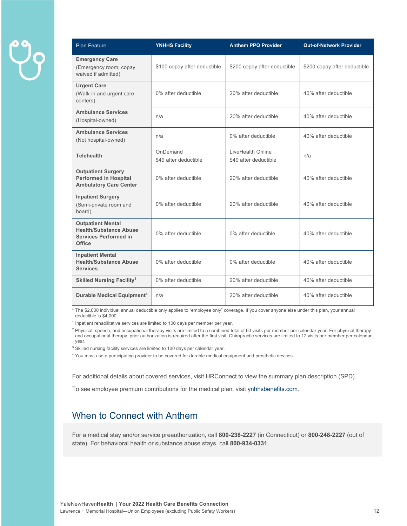| <b>Plan Feature</b>                                                                                 | <b>YNHHS Facility</b>             | <b>Anthem PPO Provider</b>                 | <b>Out-of-Network Provider</b> |
|-----------------------------------------------------------------------------------------------------|-----------------------------------|--------------------------------------------|--------------------------------|
| <b>Emergency Care</b><br>(Emergency room; copay<br>waived if admitted)                              | \$100 copay after deductible      | \$200 copay after deductible               | \$200 copay after deductible   |
| <b>Urgent Care</b><br>(Walk-in and urgent care<br>centers)                                          | 0% after deductible               | 20% after deductible                       | 40% after deductible           |
| <b>Ambulance Services</b><br>(Hospital-owned)                                                       | n/a                               | 20% after deductible                       | 40% after deductible           |
| <b>Ambulance Services</b><br>(Not hospital-owned)                                                   | n/a                               | 0% after deductible                        | 40% after deductible           |
| <b>Telehealth</b>                                                                                   | OnDemand<br>\$49 after deductible | LiveHealth Online<br>\$49 after deductible | n/a                            |
| <b>Outpatient Surgery</b><br><b>Performed in Hospital</b><br><b>Ambulatory Care Center</b>          | 0% after deductible               | 20% after deductible                       | 40% after deductible           |
| <b>Inpatient Surgery</b><br>(Semi-private room and<br>board)                                        | 0% after deductible               | 20% after deductible                       | 40% after deductible           |
| <b>Outpatient Mental</b><br><b>Health/Substance Abuse</b><br><b>Services Performed in</b><br>Office | 0% after deductible               | 0% after deductible                        | 40% after deductible           |
| <b>Inpatient Mental</b><br><b>Health/Substance Abuse</b><br><b>Services</b>                         | 0% after deductible               | 0% after deductible                        | 40% after deductible           |
| <b>Skilled Nursing Facility<sup>3</sup></b>                                                         | 0% after deductible               | 20% after deductible                       | 40% after deductible           |
| Durable Medical Equipment <sup>4</sup>                                                              | n/a                               | 20% after deductible                       | 40% after deductible           |

\* The \$2,000 individual annual deductible only applies to "employee only" coverage. If you cover anyone else under this plan, your annual deductible is \$4,000.

<sup>1</sup> Inpatient rehabilitative services are limited to 100 days per member per year.

<sup>2</sup> Physical, speech, and occupational therapy visits are limited to a combined total of 60 visits per member per calendar year. For physical therapy<br>and occupational therapy, prior authorization is required after the firs year.

<sup>3</sup> Skilled nursing facility services are limited to 100 days per calendar year.

<sup>4</sup> You must use a participating provider to be covered for durable medical equipment and prosthetic devices.

For additional details about covered services, visit HRConnect to view the summary plan description (SPD).

To see employee premium contributions for the medical plan, visit ynhhsbenefits.com.

#### When to Connect with Anthem

For a medical stay and/or service preauthorization, call **800-238-2227** (in Connecticut) or **800-248-2227** (out of state). For behavioral health or substance abuse stays, call **800-934-0331**.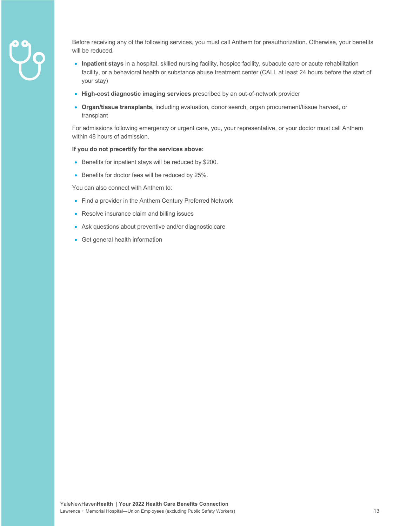

Before receiving any of the following services, you must call Anthem for preauthorization. Otherwise, your benefits will be reduced.

- **Inpatient stays** in a hospital, skilled nursing facility, hospice facility, subacute care or acute rehabilitation facility, or a behavioral health or substance abuse treatment center (CALL at least 24 hours before the start of your stay)
- **High-cost diagnostic imaging services** prescribed by an out-of-network provider
- **Organ/tissue transplants,** including evaluation, donor search, organ procurement/tissue harvest, or transplant

For admissions following emergency or urgent care, you, your representative, or your doctor must call Anthem within 48 hours of admission.

#### **If you do not precertify for the services above:**

- Benefits for inpatient stays will be reduced by \$200.
- Benefits for doctor fees will be reduced by 25%.

You can also connect with Anthem to:

- Find a provider in the Anthem Century Preferred Network
- Resolve insurance claim and billing issues
- Ask questions about preventive and/or diagnostic care
- Get general health information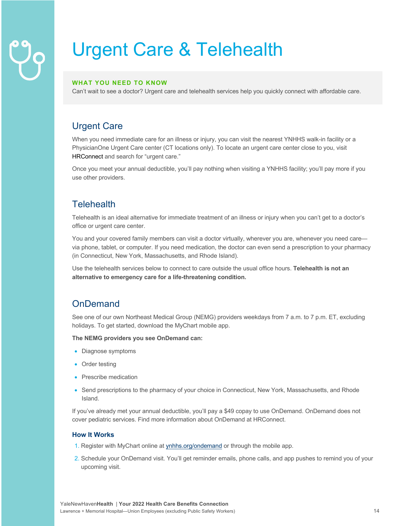## Urgent Care & Telehealth

#### **WHAT YOU NEED TO KNOW**

Can't wait to see a doctor? Urgent care and telehealth services help you quickly connect with affordable care.

#### Urgent Care

When you need immediate care for an illness or injury, you can visit the nearest YNHHS walk-in facility or a PhysicianOne Urgent Care center (CT locations only). To locate an urgent care center close to you, visit HRConnect and search for "urgent care."

Once you meet your annual deductible, you'll pay nothing when visiting a YNHHS facility; you'll pay more if you use other providers.

#### **Telehealth**

Telehealth is an ideal alternative for immediate treatment of an illness or injury when you can't get to a doctor's office or urgent care center.

You and your covered family members can visit a doctor virtually, wherever you are, whenever you need care via phone, tablet, or computer. If you need medication, the doctor can even send a prescription to your pharmacy (in Connecticut, New York, Massachusetts, and Rhode Island).

Use the telehealth services below to connect to care outside the usual office hours. **Telehealth is not an alternative to emergency care for a life-threatening condition.** 

#### **OnDemand**

See one of our own Northeast Medical Group (NEMG) providers weekdays from 7 a.m. to 7 p.m. ET, excluding holidays. To get started, download the MyChart mobile app.

**The NEMG providers you see OnDemand can:**

- Diagnose symptoms
- Order testing
- Prescribe medication
- Send prescriptions to the pharmacy of your choice in Connecticut, New York, Massachusetts, and Rhode Island.

If you've already met your annual deductible, you'll pay a \$49 copay to use OnDemand. OnDemand does not cover pediatric services. Find more information about OnDemand at HRConnect.

#### **How It Works**

- 1. Register with MyChart online at ynhhs.org/ondemand or through the mobile app.
- 2. Schedule your OnDemand visit. You'll get reminder emails, phone calls, and app pushes to remind you of your upcoming visit.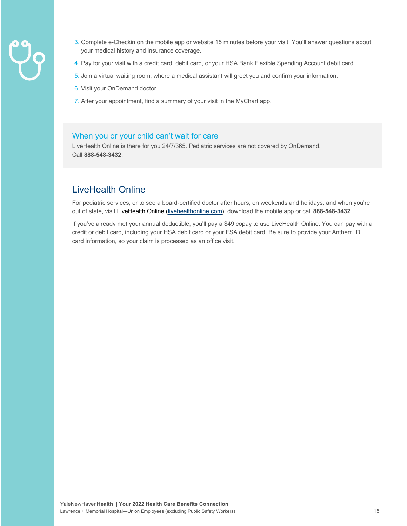- 
- 3. Complete e-Checkin on the mobile app or website 15 minutes before your visit. You'll answer questions about your medical history and insurance coverage.
- 4. Pay for your visit with a credit card, debit card, or your HSA Bank Flexible Spending Account debit card.
- 5. Join a virtual waiting room, where a medical assistant will greet you and confirm your information.
- 6. Visit your OnDemand doctor.
- 7. After your appointment, find a summary of your visit in the MyChart app.

#### When you or your child can't wait for care

LiveHealth Online is there for you 24/7/365. Pediatric services are not covered by OnDemand. Call **888-548-3432**.

#### LiveHealth Online

For pediatric services, or to see a board-certified doctor after hours, on weekends and holidays, and when you're out of state, visit LiveHealth Online (livehealthonline.com), download the mobile app or call **888-548-3432**.

If you've already met your annual deductible, you'll pay a \$49 copay to use LiveHealth Online. You can pay with a credit or debit card, including your HSA debit card or your FSA debit card. Be sure to provide your Anthem ID card information, so your claim is processed as an office visit.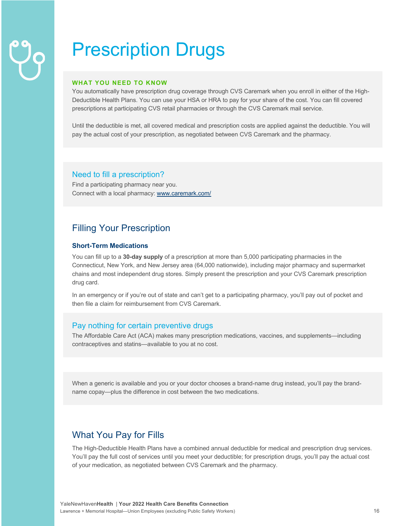## Prescription Drugs

#### **WHAT YOU NEED TO KNOW**

You automatically have prescription drug coverage through CVS Caremark when you enroll in either of the High-Deductible Health Plans. You can use your HSA or HRA to pay for your share of the cost. You can fill covered prescriptions at participating CVS retail pharmacies or through the CVS Caremark mail service.

Until the deductible is met, all covered medical and prescription costs are applied against the deductible. You will pay the actual cost of your prescription, as negotiated between CVS Caremark and the pharmacy.

#### Need to fill a prescription?

Find a participating pharmacy near you. Connect with a local pharmacy: www.caremark.com/

#### Filling Your Prescription

#### **Short-Term Medications**

You can fill up to a **30-day supply** of a prescription at more than 5,000 participating pharmacies in the Connecticut, New York, and New Jersey area (64,000 nationwide), including major pharmacy and supermarket chains and most independent drug stores. Simply present the prescription and your CVS Caremark prescription drug card.

In an emergency or if you're out of state and can't get to a participating pharmacy, you'll pay out of pocket and then file a claim for reimbursement from CVS Caremark.

#### Pay nothing for certain preventive drugs

The Affordable Care Act (ACA) makes many prescription medications, vaccines, and supplements—including contraceptives and statins—available to you at no cost.

When a generic is available and you or your doctor chooses a brand-name drug instead, you'll pay the brandname copay—plus the difference in cost between the two medications.

#### What You Pay for Fills

The High-Deductible Health Plans have a combined annual deductible for medical and prescription drug services. You'll pay the full cost of services until you meet your deductible; for prescription drugs, you'll pay the actual cost of your medication, as negotiated between CVS Caremark and the pharmacy.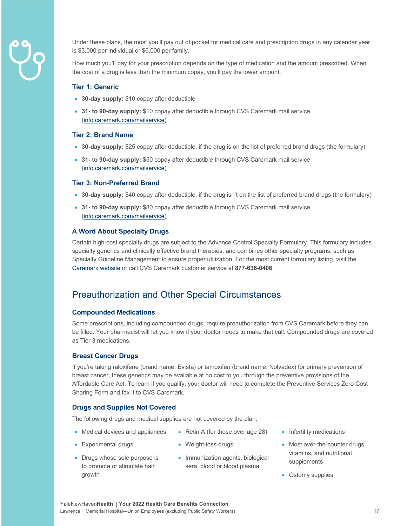

Under these plans, the most you'll pay out of pocket for medical care and prescription drugs in any calendar year is \$3,000 per individual or \$6,000 per family.

How much you'll pay for your prescription depends on the type of medication and the amount prescribed. When the cost of a drug is less than the minimum copay, you'll pay the lower amount.

#### **Tier 1: Generic**

- **30-day supply:** \$10 copay after deductible
- **31- to 90-day supply:** \$10 copay after deductible through CVS Caremark mail service (info.caremark.com/mailservice)

#### **Tier 2: Brand Name**

- **30-day supply:** \$25 copay after deductible, if the drug is on the list of preferred brand drugs (the formulary)
- **31- to 90-day supply:** \$50 copay after deductible through CVS Caremark mail service (info.caremark.com/mailservice)

#### **Tier 3: Non-Preferred Brand**

- **30-day supply:** \$40 copay after deductible, if the drug isn't on the list of preferred brand drugs (the formulary)
- **31- to 90-day supply:** \$80 copay after deductible through CVS Caremark mail service (info.caremark.com/mailservice)

#### **A Word About Specialty Drugs**

Certain high-cost specialty drugs are subject to the Advance Control Specialty Formulary. This formulary includes specialty generics and clinically effective brand therapies, and combines other specialty programs, such as Specialty Guideline Management to ensure proper utilization. For the most current formulary listing, visit the Caremark website or call CVS Caremark customer service at **877-636-0406**.

#### Preauthorization and Other Special Circumstances

#### **Compounded Medications**

Some prescriptions, including compounded drugs, require preauthorization from CVS Caremark before they can be filled. Your pharmacist will let you know if your doctor needs to make that call. Compounded drugs are covered as Tier 3 medications.

#### **Breast Cancer Drugs**

If you're taking raloxifene (brand name: Evista) or tamoxifen (brand name: Nolvadex) for primary prevention of breast cancer, these generics may be available at no cost to you through the preventive provisions of the Affordable Care Act. To learn if you qualify, your doctor will need to complete the Preventive Services Zero Cost Sharing Form and fax it to CVS Caremark.

#### **Drugs and Supplies Not Covered**

The following drugs and medical supplies are not covered by the plan:

- Medical devices and appliances
- Weight-loss drugs
- Drugs whose sole purpose is to promote or stimulate hair growth

• Experimental drugs

• Immunization agents, biological sera, blood or blood plasma

• Retin A (for those over age 28)

- Infertility medications
- Most over-the-counter drugs, vitamins, and nutritional supplements
- Ostomy supplies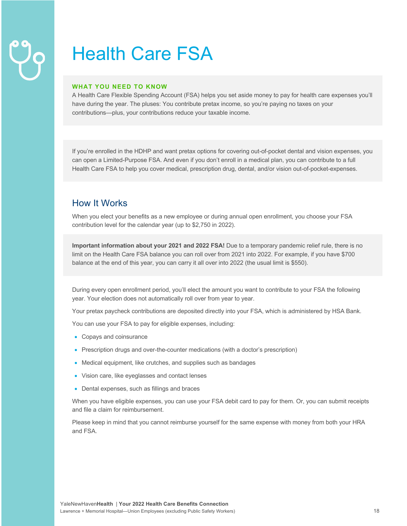## Health Care FSA

#### **WHAT YOU NEED TO KNOW**

A Health Care Flexible Spending Account (FSA) helps you set aside money to pay for health care expenses you'll have during the year. The pluses: You contribute pretax income, so you're paying no taxes on your contributions—plus, your contributions reduce your taxable income.

If you're enrolled in the HDHP and want pretax options for covering out-of-pocket dental and vision expenses, you can open a Limited-Purpose FSA. And even if you don't enroll in a medical plan, you can contribute to a full Health Care FSA to help you cover medical, prescription drug, dental, and/or vision out-of-pocket-expenses.

#### How It Works

When you elect your benefits as a new employee or during annual open enrollment, you choose your FSA contribution level for the calendar year (up to \$2,750 in 2022).

**Important information about your 2021 and 2022 FSA!** Due to a temporary pandemic relief rule, there is no limit on the Health Care FSA balance you can roll over from 2021 into 2022. For example, if you have \$700 balance at the end of this year, you can carry it all over into 2022 (the usual limit is \$550).

During every open enrollment period, you'll elect the amount you want to contribute to your FSA the following year. Your election does not automatically roll over from year to year.

Your pretax paycheck contributions are deposited directly into your FSA, which is administered by HSA Bank.

You can use your FSA to pay for eligible expenses, including:

- Copays and coinsurance
- Prescription drugs and over-the-counter medications (with a doctor's prescription)
- Medical equipment, like crutches, and supplies such as bandages
- Vision care, like eyeglasses and contact lenses
- Dental expenses, such as fillings and braces

When you have eligible expenses, you can use your FSA debit card to pay for them. Or, you can submit receipts and file a claim for reimbursement.

Please keep in mind that you cannot reimburse yourself for the same expense with money from both your HRA and FSA.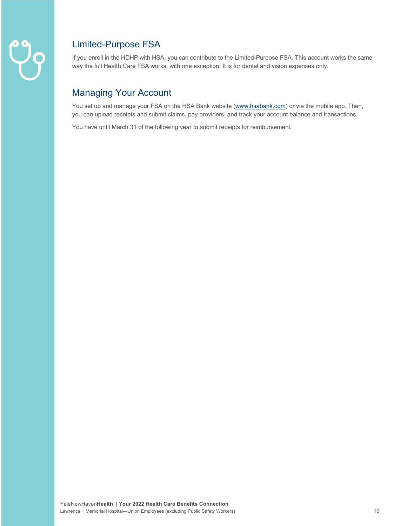

#### Limited-Purpose FSA

If you enroll in the HDHP with HSA, you can contribute to the Limited-Purpose FSA. This account works the same way the full Health Care FSA works, with one exception: It is for dental and vision expenses only.

#### Managing Your Account

You set up and manage your FSA on the HSA Bank website (www.hsabank.com) or via the mobile app. Then, you can upload receipts and submit claims, pay providers, and track your account balance and transactions.

You have until March 31 of the following year to submit receipts for reimbursement.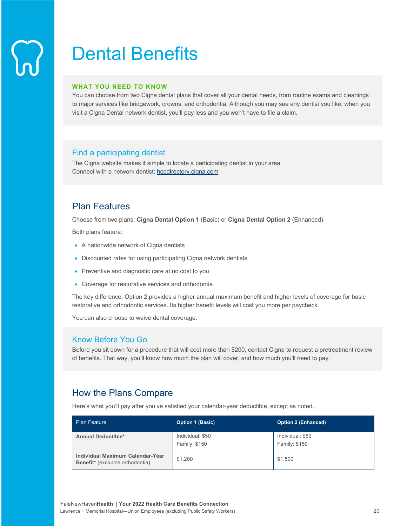### Dental Benefits

#### **WHAT YOU NEED TO KNOW**

You can choose from two Cigna dental plans that cover all your dental needs, from routine exams and cleanings to major services like bridgework, crowns, and orthodontia. Although you may see any dentist you like, when you visit a Cigna Dental network dentist, you'll pay less and you won't have to file a claim.

#### Find a participating dentist

The Cigna website makes it simple to locate a participating dentist in your area. Connect with a network dentist: hcpdirectory.cigna.com

#### Plan Features

Choose from two plans: **Cigna Dental Option 1** (Basic) or **Cigna Dental Option 2** (Enhanced).

Both plans feature:

- A nationwide network of Cigna dentists
- Discounted rates for using participating Cigna network dentists
- Preventive and diagnostic care at no cost to you
- Coverage for restorative services and orthodontia

The key difference: Option 2 provides a higher annual maximum benefit and higher levels of coverage for basic restorative and orthodontic services. Its higher benefit levels will cost you more per paycheck.

You can also choose to waive dental coverage.

#### Know Before You Go

Before you sit down for a procedure that will cost more than \$200, contact Cigna to request a pretreatment review of benefits. That way, you'll know how much the plan will cover, and how much you'll need to pay.

#### How the Plans Compare

Here's what you'll pay after you've satisfied your calendar-year deductible, except as noted.

| <b>Plan Feature</b>                                                        | <b>Option 1 (Basic)</b>           | <b>Option 2 (Enhanced)</b>        |
|----------------------------------------------------------------------------|-----------------------------------|-----------------------------------|
| <b>Annual Deductible*</b>                                                  | Individual: \$50<br>Family: \$150 | Individual: \$50<br>Family: \$150 |
| Individual Maximum Calendar-Year<br><b>Benefit*</b> (excludes orthodontia) | \$1.200                           | \$1,500                           |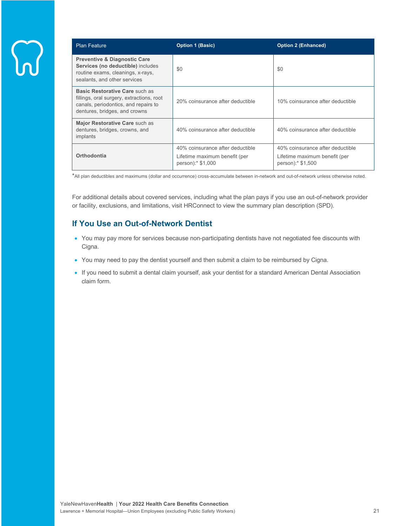| <b>Plan Feature</b>                                                                                                                                  | <b>Option 1 (Basic)</b>                                                                | <b>Option 2 (Enhanced)</b>                                                             |
|------------------------------------------------------------------------------------------------------------------------------------------------------|----------------------------------------------------------------------------------------|----------------------------------------------------------------------------------------|
| <b>Preventive &amp; Diagnostic Care</b><br>Services (no deductible) includes<br>routine exams, cleanings, x-rays,<br>sealants, and other services    | \$0                                                                                    | \$0                                                                                    |
| Basic Restorative Care such as<br>fillings, oral surgery, extractions, root<br>canals, periodontics, and repairs to<br>dentures, bridges, and crowns | 20% coinsurance after deductible                                                       | 10% coinsurance after deductible                                                       |
| Major Restorative Care such as<br>dentures, bridges, crowns, and<br>implants                                                                         | 40% coinsurance after deductible                                                       | 40% coinsurance after deductible                                                       |
| Orthodontia                                                                                                                                          | 40% coinsurance after deductible<br>Lifetime maximum benefit (per<br>person):* \$1,000 | 40% coinsurance after deductible<br>Lifetime maximum benefit (per<br>person):* \$1,500 |

\*All plan deductibles and maximums (dollar and occurrence) cross-accumulate between in-network and out-of-network unless otherwise noted.

For additional details about covered services, including what the plan pays if you use an out-of-network provider or facility, exclusions, and limitations, visit HRConnect to view the summary plan description (SPD).

#### **If You Use an Out-of-Network Dentist**

- You may pay more for services because non-participating dentists have not negotiated fee discounts with Cigna.
- You may need to pay the dentist yourself and then submit a claim to be reimbursed by Cigna.
- If you need to submit a dental claim yourself, ask your dentist for a standard American Dental Association claim form.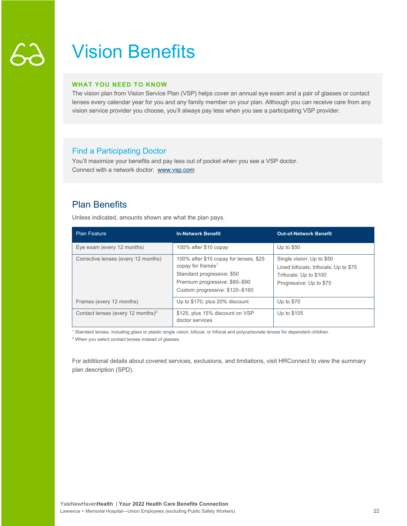### Vision Benefits

#### **WHAT YOU NEED TO KNOW**

The vision plan from Vision Service Plan (VSP) helps cover an annual eye exam and a pair of glasses or contact lenses every calendar year for you and any family member on your plan. Although you can receive care from any vision service provider you choose, you'll always pay less when you see a participating VSP provider.

#### Find a Participating Doctor

You'll maximize your benefits and pay less out of pocket when you see a VSP doctor. Connect with a network doctor: www.vsp.com

### Plan Benefits

Unless indicated, amounts shown are what the plan pays.

| <b>Plan Feature</b>                           | <b>In-Network Benefit</b>                                                                                                                                                  | <b>Out-of-Network Benefit</b>                                                                                           |
|-----------------------------------------------|----------------------------------------------------------------------------------------------------------------------------------------------------------------------------|-------------------------------------------------------------------------------------------------------------------------|
| Eye exam (every 12 months)                    | 100% after \$10 copay                                                                                                                                                      | Up to \$50                                                                                                              |
| Corrective lenses (every 12 months)           | 100% after \$10 copay for lenses, \$25<br>copay for frames <sup>1</sup><br>Standard progressive: \$50<br>Premium progressive: \$80-\$90<br>Custom progressive: \$120-\$160 | Single vision: Up to \$50<br>Lined bifocals, trifocals: Up to \$75<br>Trifocals: Up to \$100<br>Progressive: Up to \$75 |
| Frames (every 12 months)                      | Up to \$170, plus 20% discount                                                                                                                                             | Up to \$70                                                                                                              |
| Contact lenses (every 12 months) <sup>2</sup> | \$125, plus 15% discount on VSP<br>doctor services                                                                                                                         | Up to \$105                                                                                                             |

<sup>1</sup> Standard lenses, including glass or plastic single vision, bifocal, or trifocal and polycarbonate lenses for dependent children.

<sup>2</sup> When you select contact lenses instead of glasses.

For additional details about covered services, exclusions, and limitations, visit HRConnect to view the summary plan description (SPD).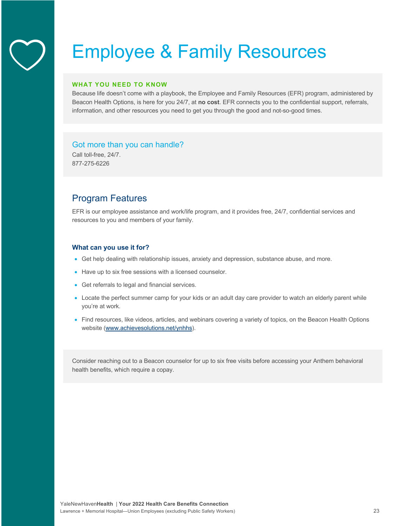### Employee & Family Resources

#### **WHAT YOU NEED TO KNOW**

Because life doesn't come with a playbook, the Employee and Family Resources (EFR) program, administered by Beacon Health Options, is here for you 24/7, at **no cost**. EFR connects you to the confidential support, referrals, information, and other resources you need to get you through the good and not-so-good times.

#### Got more than you can handle?

Call toll-free, 24/7. 877-275-6226

#### Program Features

EFR is our employee assistance and work/life program, and it provides free, 24/7, confidential services and resources to you and members of your family.

#### **What can you use it for?**

- Get help dealing with relationship issues, anxiety and depression, substance abuse, and more.
- Have up to six free sessions with a licensed counselor.
- Get referrals to legal and financial services.
- Locate the perfect summer camp for your kids or an adult day care provider to watch an elderly parent while you're at work.
- Find resources, like videos, articles, and webinars covering a variety of topics, on the Beacon Health Options website (www.achievesolutions.net/ynhhs).

Consider reaching out to a Beacon counselor for up to six free visits before accessing your Anthem behavioral health benefits, which require a copay.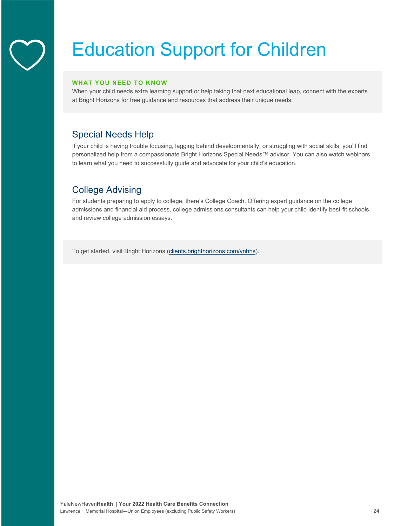## Education Support for Children

#### **WHAT YOU NEED TO KNOW**

When your child needs extra learning support or help taking that next educational leap, connect with the experts at Bright Horizons for free guidance and resources that address their unique needs.

### Special Needs Help

If your child is having trouble focusing, lagging behind developmentally, or struggling with social skills, you'll find personalized help from a compassionate Bright Horizons Special Needs™ advisor. You can also watch webinars to learn what you need to successfully guide and advocate for your child's education.

#### College Advising

For students preparing to apply to college, there's College Coach. Offering expert guidance on the college admissions and financial aid process, college admissions consultants can help your child identify best-fit schools and review college admission essays.

To get started, visit Bright Horizons (clients.brighthorizons.com/ynhhs).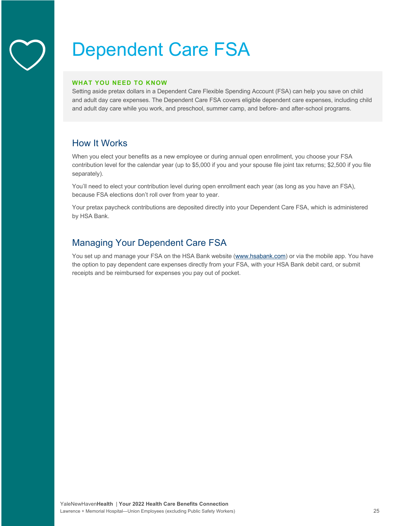### Dependent Care FSA

#### **WHAT YOU NEED TO KNOW**

Setting aside pretax dollars in a Dependent Care Flexible Spending Account (FSA) can help you save on child and adult day care expenses. The Dependent Care FSA covers eligible dependent care expenses, including child and adult day care while you work, and preschool, summer camp, and before- and after-school programs.

#### How It Works

When you elect your benefits as a new employee or during annual open enrollment, you choose your FSA contribution level for the calendar year (up to \$5,000 if you and your spouse file joint tax returns; \$2,500 if you file separately).

You'll need to elect your contribution level during open enrollment each year (as long as you have an FSA), because FSA elections don't roll over from year to year.

Your pretax paycheck contributions are deposited directly into your Dependent Care FSA, which is administered by HSA Bank.

#### Managing Your Dependent Care FSA

You set up and manage your FSA on the HSA Bank website (www.hsabank.com) or via the mobile app. You have the option to pay dependent care expenses directly from your FSA, with your HSA Bank debit card, or submit receipts and be reimbursed for expenses you pay out of pocket.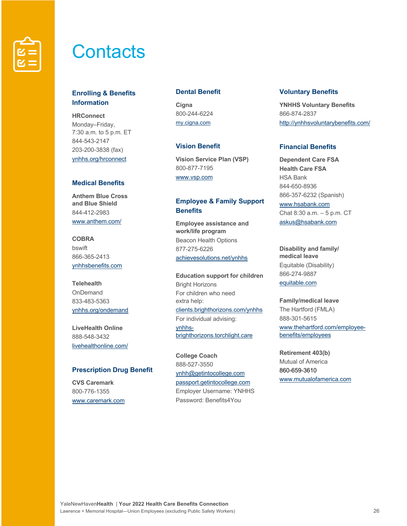

### **Contacts**

#### **Enrolling & Benefits Information**

**HRConnect** Monday–Friday, 7:30 a.m. to 5 p.m. ET 844-543-2147 203-200-3838 (fax) ynhhs.org/hrconnect

#### **Medical Benefits**

**Anthem Blue Cross and Blue Shield** 844-412-2983 www.anthem.com/

**COBRA** bswift 866-365-2413 ynhhsbenefits.com

**Telehealth** OnDemand 833-483-5363 ynhhs.org/ondemand

**LiveHealth Online** 888-548-3432 livehealthonline.com/

#### **Prescription Drug Benefit**

**CVS Caremark** 800-776-1355 www.caremark.com

#### **Dental Benefit**

**Cigna** 800-244-6224 my.cigna.com

#### **Vision Benefit**

**Vision Service Plan (VSP)** 800-877-7195 www.vsp.com

#### **Employee & Family Support Benefits**

**Employee assistance and work/life program** Beacon Health Options 877-275-6226 achievesolutions.net/ynhhs

**Education support for children** Bright Horizons For children who need extra help: clients.brighthorizons.com/ynhhs For individual advising: ynhhsbrighthorizons.torchlight.care

**College Coach**  888-527-3550 ynhh@getintocollege.com passport.getintocollege.com Employer Username: YNHHS Password: Benefits4You

#### **Voluntary Benefits**

**YNHHS Voluntary Benefits** 866-874-2837 http://ynhhsvoluntarybenefits.com/

#### **Financial Benefits**

**Dependent Care FSA Health Care FSA** HSA Bank 844-650-8936 866-357-6232 (Spanish) www.hsabank.com Chat 8:30 a.m. – 5 p.m. CT askus@hsabank.com

**Disability and family/ medical leave** Equitable (Disability) 866-274-9887 equitable.com

#### **Family/medical leave**

The Hartford (FMLA) 888-301-5615 www.thehartford.com/employeebenefits/employees

**Retirement 403(b)** Mutual of America 860-659-3610 www.mutualofamerica.com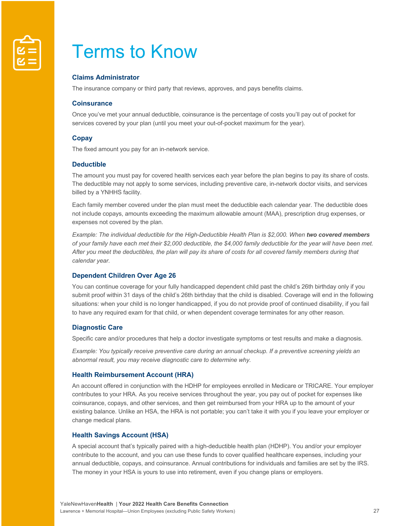

### Terms to Know

#### **Claims Administrator**

The insurance company or third party that reviews, approves, and pays benefits claims.

#### **Coinsurance**

Once you've met your annual deductible, coinsurance is the percentage of costs you'll pay out of pocket for services covered by your plan (until you meet your out-of-pocket maximum for the year).

#### **Copay**

The fixed amount you pay for an in-network service.

#### **Deductible**

The amount you must pay for covered health services each year before the plan begins to pay its share of costs. The deductible may not apply to some services, including preventive care, in-network doctor visits, and services billed by a YNHHS facility.

Each family member covered under the plan must meet the deductible each calendar year. The deductible does not include copays, amounts exceeding the maximum allowable amount (MAA), prescription drug expenses, or expenses not covered by the plan.

*Example: The individual deductible for the High-Deductible Health Plan is \$2,000. When two covered members of your family have each met their \$2,000 deductible, the \$4,000 family deductible for the year will have been met.*  After you meet the deductibles, the plan will pay its share of costs for all covered family members during that *calendar year.* 

#### **Dependent Children Over Age 26**

You can continue coverage for your fully handicapped dependent child past the child's 26th birthday only if you submit proof within 31 days of the child's 26th birthday that the child is disabled. Coverage will end in the following situations: when your child is no longer handicapped, if you do not provide proof of continued disability, if you fail to have any required exam for that child, or when dependent coverage terminates for any other reason.

#### **Diagnostic Care**

Specific care and/or procedures that help a doctor investigate symptoms or test results and make a diagnosis.

*Example: You typically receive preventive care during an annual checkup. If a preventive screening yields an abnormal result, you may receive diagnostic care to determine why.* 

#### **Health Reimbursement Account (HRA)**

An account offered in conjunction with the HDHP for employees enrolled in Medicare or TRICARE. Your employer contributes to your HRA. As you receive services throughout the year, you pay out of pocket for expenses like coinsurance, copays, and other services, and then get reimbursed from your HRA up to the amount of your existing balance. Unlike an HSA, the HRA is not portable; you can't take it with you if you leave your employer or change medical plans.

#### **Health Savings Account (HSA)**

A special account that's typically paired with a high-deductible health plan (HDHP). You and/or your employer contribute to the account, and you can use these funds to cover qualified healthcare expenses, including your annual deductible, copays, and coinsurance. Annual contributions for individuals and families are set by the IRS. The money in your HSA is yours to use into retirement, even if you change plans or employers.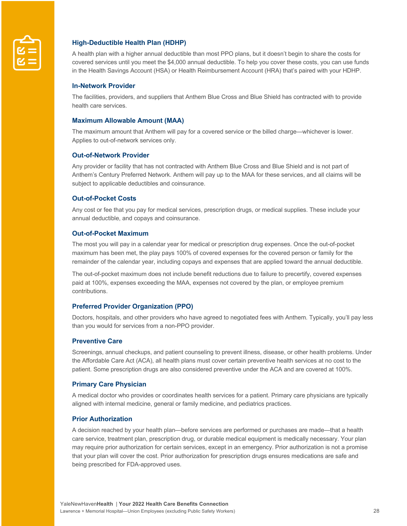

#### **High-Deductible Health Plan (HDHP)**

A health plan with a higher annual deductible than most PPO plans, but it doesn't begin to share the costs for covered services until you meet the \$4,000 annual deductible. To help you cover these costs, you can use funds in the Health Savings Account (HSA) or Health Reimbursement Account (HRA) that's paired with your HDHP.

#### **In-Network Provider**

The facilities, providers, and suppliers that Anthem Blue Cross and Blue Shield has contracted with to provide health care services.

#### **Maximum Allowable Amount (MAA)**

The maximum amount that Anthem will pay for a covered service or the billed charge—whichever is lower. Applies to out-of-network services only.

#### **Out-of-Network Provider**

Any provider or facility that has not contracted with Anthem Blue Cross and Blue Shield and is not part of Anthem's Century Preferred Network. Anthem will pay up to the MAA for these services, and all claims will be subject to applicable deductibles and coinsurance.

#### **Out-of-Pocket Costs**

Any cost or fee that you pay for medical services, prescription drugs, or medical supplies. These include your annual deductible, and copays and coinsurance.

#### **Out-of-Pocket Maximum**

The most you will pay in a calendar year for medical or prescription drug expenses. Once the out-of-pocket maximum has been met, the play pays 100% of covered expenses for the covered person or family for the remainder of the calendar year, including copays and expenses that are applied toward the annual deductible.

The out-of-pocket maximum does not include benefit reductions due to failure to precertify, covered expenses paid at 100%, expenses exceeding the MAA, expenses not covered by the plan, or employee premium contributions.

#### **Preferred Provider Organization (PPO)**

Doctors, hospitals, and other providers who have agreed to negotiated fees with Anthem. Typically, you'll pay less than you would for services from a non-PPO provider.

#### **Preventive Care**

Screenings, annual checkups, and patient counseling to prevent illness, disease, or other health problems. Under the Affordable Care Act (ACA), all health plans must cover certain preventive health services at no cost to the patient. Some prescription drugs are also considered preventive under the ACA and are covered at 100%.

#### **Primary Care Physician**

A medical doctor who provides or coordinates health services for a patient. Primary care physicians are typically aligned with internal medicine, general or family medicine, and pediatrics practices.

#### **Prior Authorization**

A decision reached by your health plan—before services are performed or purchases are made—that a health care service, treatment plan, prescription drug, or durable medical equipment is medically necessary. Your plan may require prior authorization for certain services, except in an emergency. Prior authorization is not a promise that your plan will cover the cost. Prior authorization for prescription drugs ensures medications are safe and being prescribed for FDA-approved uses.